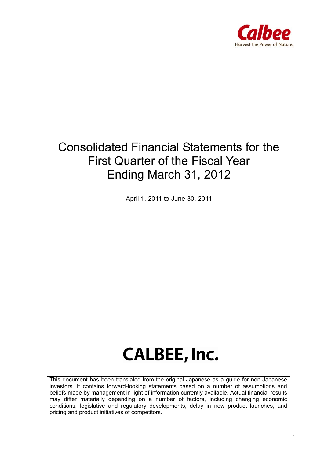

*0* 

# Consolidated Financial Statements for the First Quarter of the Fiscal Year Ending March 31, 2012

April 1, 2011 to June 30, 2011

# **CALBEE, Inc.**

This document has been translated from the original Japanese as a guide for non-Japanese investors. It contains forward-looking statements based on a number of assumptions and beliefs made by management in light of information currently available. Actual financial results may differ materially depending on a number of factors, including changing economic conditions, legislative and regulatory developments, delay in new product launches, and pricing and product initiatives of competitors.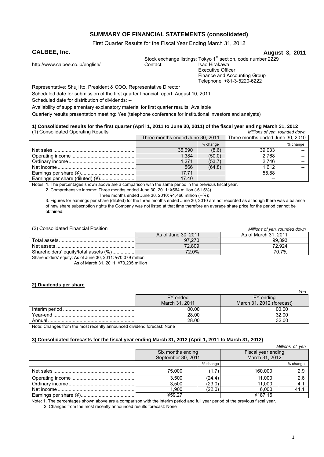#### **SUMMARY OF FINANCIAL STATEMENTS (consolidated)**

First Quarter Results for the Fiscal Year Ending March 31, 2012

#### **CALBEE, Inc.** August 3, 2011

http://www.calbee.co.jp/english/

Stock exchange listings: Tokyo 1<sup>st</sup> section, code number 2229<br>Contact: Isao Hirakawa Executive Officer

Finance and Accounting Group Telephone: +81-3-5220-6222

Representative: Shuji Ito, President & COO, Representative Director

Scheduled date for submission of the first quarter financial report: August 10, 2011

Scheduled date for distribution of dividends: --

Availability of supplementary explanatory material for first quarter results: Available

Quarterly results presentation meeting: Yes (telephone conference for institutional investors and analysts)

#### **1) Consolidated results for the first quarter (April 1, 2011 to June 30, 2011) of the fiscal year ending March 31, 2012**

| (1) Consolidated Operating Results<br>Millions of yen, rounded down |                                  |          |                                  |          |
|---------------------------------------------------------------------|----------------------------------|----------|----------------------------------|----------|
|                                                                     | Three months ended June 30, 2011 |          | Three months ended June 30, 2010 |          |
|                                                                     |                                  | % change |                                  | % change |
|                                                                     | 35,690                           | (8.6)    | 39,033                           |          |
|                                                                     | 1.384                            | (50.0)   | 2,768                            |          |
|                                                                     | 1.271                            | (53.7)   | 2.746                            |          |
|                                                                     | 566                              | (64.8)   | 1.612                            |          |
|                                                                     | 17.71                            |          | 55.88                            |          |
|                                                                     | 17.40                            |          | --                               |          |

Notes: 1. The percentages shown above are a comparison with the same period in the previous fiscal year.

2. Comprehensive income: Three months ended June 30, 2011: ¥564 million (-61.5%)

Three months ended June 30, 2010:  $¥1,466$  million  $(-%)$ ;

3. Figures for earnings per share (diluted) for the three months ended June 30, 2010 are not recorded as although there was a balance of new share subscription rights the Company was not listed at that time therefore an average share price for the period cannot be obtained.

| (2) Consolidated Financial Position   |                     | Millions of yen, rounded down |
|---------------------------------------|---------------------|-------------------------------|
|                                       | As of June 30, 2011 | As of March 31, 2011          |
|                                       | 97.270              | 99.393                        |
|                                       | 72.809              | 72.924                        |
| Shareholders' equity/total assets (%) | 72.0%               | 70.7%                         |
|                                       |                     |                               |

Shareholders' equity: As of June 30, 2011: ¥70,079 million As of March 31, 2011: ¥70,235 million

#### **2) Dividends per share**

|          |                | ,,,,                      |
|----------|----------------|---------------------------|
|          | FY ended       | FY ending                 |
|          | March 31, 2011 | March 31, 2012 (forecast) |
|          | 00.00          | 00.00                     |
| Year-end | 28.00          | 32.00                     |
| Annual   | 28.00          | 32.00                     |

Note: Changes from the most recently announced dividend forecast: None

#### **3) Consolidated forecasts for the fiscal year ending March 31, 2012 (April 1, 2011 to March 31, 2012)**

|                                         |          |                                      | Millions of yen |
|-----------------------------------------|----------|--------------------------------------|-----------------|
| Six months ending<br>September 30, 2011 |          | Fiscal year ending<br>March 31, 2012 |                 |
|                                         | % change |                                      | % change        |
| 75.000                                  | (1.7)    | 160,000                              | 2.9             |
| 3.500                                   | (24.4)   | 11.000                               | 2.6             |
| 3,500                                   | (23.0)   | 11.000                               | 4.1             |
| 1.900                                   | (22.0)   | 6.000                                | 41.1            |
| ¥59.27                                  |          | ¥187.16                              |                 |

Note: 1. The percentages shown above are a comparison with the interim period and full year period of the previous fiscal year.

2. Changes from the most recently announced results forecast: None

*Yen*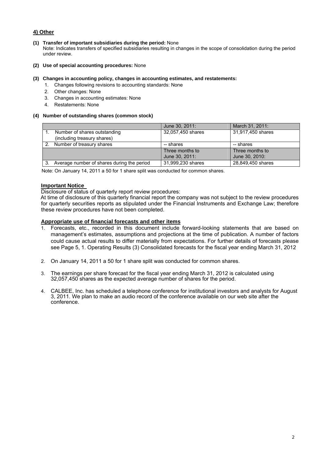#### **4) Other**

**(1) Transfer of important subsidiaries during the period:** None

Note: Indicates transfers of specified subsidiaries resulting in changes in the scope of consolidation during the period under review.

**(2) Use of special accounting procedures:** None

#### **(3) Changes in accounting policy, changes in accounting estimates, and restatements:**

- 1. Changes following revisions to accounting standards: None
- 2. Other changes: None
- 3. Changes in accounting estimates: None
- 4. Restatements: None

#### **(4) Number of outstanding shares (common stock)**

|                                            | June 30, 2011:    | March 31, 2011:   |
|--------------------------------------------|-------------------|-------------------|
| Number of shares outstanding               | 32,057,450 shares | 31,917,450 shares |
| (including treasury shares)                |                   |                   |
| Number of treasury shares                  | -- shares         | -- shares         |
|                                            | Three months to   | Three months to   |
|                                            | June 30, 2011:    | June 30, 2010:    |
| Average number of shares during the period | 31,999,230 shares | 28,849,450 shares |

Note: On January 14, 2011 a 50 for 1 share split was conducted for common shares.

#### **Important Notice**

Disclosure of status of quarterly report review procedures:

At time of disclosure of this quarterly financial report the company was not subject to the review procedures for quarterly securities reports as stipulated under the Financial Instruments and Exchange Law; therefore these review procedures have not been completed.

#### **Appropriate use of financial forecasts and other items**

- 1. Forecasts, etc., recorded in this document include forward-looking statements that are based on management's estimates, assumptions and projections at the time of publication. A number of factors could cause actual results to differ materially from expectations. For further details of forecasts please see Page 5, 1. Operating Results (3) Consolidated forecasts for the fiscal year ending March 31, 2012
- 2. On January 14, 2011 a 50 for 1 share split was conducted for common shares.
- 3. The earnings per share forecast for the fiscal year ending March 31, 2012 is calculated using 32,057,450 shares as the expected average number of shares for the period.
- 4. CALBEE, Inc. has scheduled a telephone conference for institutional investors and analysts for August 3, 2011. We plan to make an audio record of the conference available on our web site after the conference.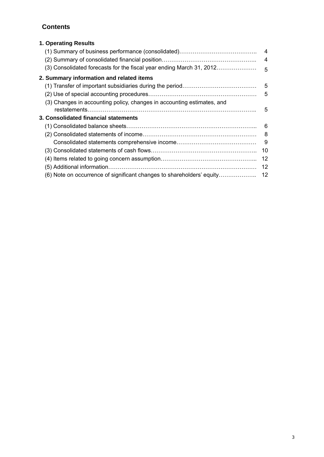## **Contents**

| 1. Operating Results                                                   |                |
|------------------------------------------------------------------------|----------------|
|                                                                        |                |
|                                                                        | $\overline{4}$ |
| (3) Consolidated forecasts for the fiscal year ending March 31, 2012   | $-5$           |
| 2. Summary information and related items                               |                |
|                                                                        | $-5$           |
|                                                                        |                |
| (3) Changes in accounting policy, changes in accounting estimates, and |                |
|                                                                        | - 5            |
| 3. Consolidated financial statements                                   |                |
|                                                                        | - 6            |
|                                                                        | - 8            |
|                                                                        | - 9            |
|                                                                        | 10             |
|                                                                        | 12             |
|                                                                        | 12             |
| (6) Note on occurrence of significant changes to shareholders' equity  | 12             |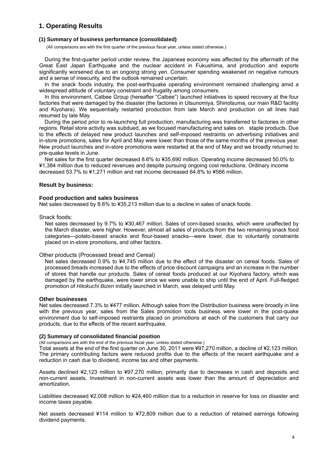### **1. Operating Results**

#### **(1) Summary of business performance (consolidated)**

(All comparisons are with the first quarter of the previous fiscal year, unless stated otherwise.)

During the first-quarter period under review, the Japanese economy was affected by the aftermath of the Great East Japan Earthquake and the nuclear accident in Fukushima, and production and exports significantly worsened due to an ongoing strong yen. Consumer spending weakened on negative rumours and a sense of insecurity, and the outlook remained uncertain.

In the snack foods industry, the post-earthquake operating environment remained challenging amid a widespread attitude of voluntary constraint and frugality among consumers.

In this environment, Calbee Group (hereafter "Calbee") launched initiatives to speed recovery at the four factories that were damaged by the disaster (the factories in Utsunomiya, Shinotsuma, our main R&D facility and Kiyohara). We sequentially restarted production from late March and production on all lines had resumed by late May.

During the period prior to re-launching full production, manufacturing was transferred to factories in other regions. Retail store activity was subdued, as we focused manufacturing and sales on staple products. Due to the effects of delayed new product launches and self-imposed restraints on advertising initiatives and in-store promotions, sales for April and May were lower than those of the same months of the previous year. New product launches and in-store promotions were restarted at the end of May and we broadly returned to pre-quake levels in June.

Net sales for the first quarter decreased 8.6% to ¥35,690 million. Operating income decreased 50.0% to ¥1,384 million due to reduced revenues and despite pursuing ongoing cost reductions. Ordinary income decreased 53.7% to ¥1,271 million and net income decreased 64.8% to ¥566 million.

#### **Result by business:**

#### **Food production and sales business**

Net sales decreased by 8.6% to ¥35,213 million due to a decline in sales of snack foods.

Snack foods:

Net sales decreased by 9.7% to ¥30,467 million. Sales of corn-based snacks, which were unaffected by the March disaster, were higher. However, almost all sales of products from the two remaining snack food categories—potato-based snacks and flour-based snacks—were lower, due to voluntarily constraints placed on in-store promotions, and other factors.

#### Other products (Processed bread and Cereal)

Net sales decreased 0.9% to ¥4,745 million due to the effect of the disaster on cereal foods. Sales of processed breads increased due to the effects of price discount campaigns and an increase in the number of stores that handle our products. Sales of cereal foods produced at our Kiyohara factory, which was damaged by the earthquake, were lower since we were unable to ship until the end of April. Full-fledged promotion of *Hitokuchi Bizen* initially launched in March, was delayed until May.

#### **Other businesses**

Net sales decreased 7.3% to ¥477 million. Although sales from the Distribution business were broadly in line with the previous year, sales from the Sales promotion tools business were lower in the post-quake environment due to self-imposed restraints placed on promotions at each of the customers that carry our products, due to the effects of the recent earthquake.

#### **(2) Summary of consolidated financial position**

(All comparisons are with the end of the previous fiscal year, unless stated otherwise.)

Total assets at the end of the first quarter on June 30, 2011 were ¥97,270 million, a decline of ¥2,123 million. The primary contributing factors were reduced profits due to the effects of the recent earthquake and a reduction in cash due to dividend, income tax and other payments.

Assets declined ¥2,123 million to ¥97,270 million, primarily due to decreases in cash and deposits and non-current assets. Investment in non-current assets was lower than the amount of depreciation and amortization.

Liabilities decreased ¥2,008 million to ¥24,460 million due to a reduction in reserve for loss on disaster and income taxes payable.

Net assets decreased ¥114 million to ¥72,809 million due to a reduction of retained earnings following dividend payments.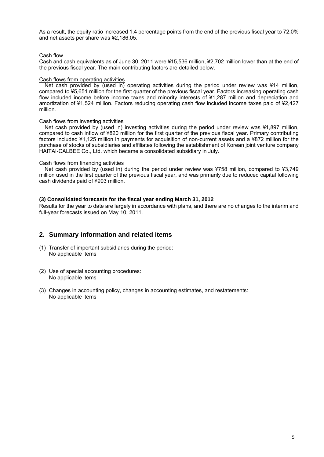As a result, the equity ratio increased 1.4 percentage points from the end of the previous fiscal year to 72.0% and net assets per share was ¥2,186.05.

#### Cash flow

Cash and cash equivalents as of June 30, 2011 were ¥15,536 million, ¥2,702 million lower than at the end of the previous fiscal year. The main contributing factors are detailed below.

#### Cash flows from operating activities

Net cash provided by (used in) operating activities during the period under review was ¥14 million, compared to ¥5,651 million for the first quarter of the previous fiscal year. Factors increasing operating cash flow included income before income taxes and minority interests of ¥1,287 million and depreciation and amortization of ¥1,524 million. Factors reducing operating cash flow included income taxes paid of ¥2,427 million.

#### Cash flows from investing activities

Net cash provided by (used in) investing activities during the period under review was ¥1,897 million, compared to cash inflow of ¥820 million for the first quarter of the previous fiscal year. Primary contributing factors included ¥1,125 million in payments for acquisition of non-current assets and a ¥872 million for the purchase of stocks of subsidiaries and affiliates following the establishment of Korean joint venture company HAITAI-CALBEE Co., Ltd. which became a consolidated subsidiary in July.

#### Cash flows from financing activities

Net cash provided by (used in) during the period under review was ¥758 million, compared to ¥3,749 million used in the first quarter of the previous fiscal year, and was primarily due to reduced capital following cash dividends paid of ¥903 million.

#### **(3) Consolidated forecasts for the fiscal year ending March 31, 2012**

Results for the year to date are largely in accordance with plans, and there are no changes to the interim and full-year forecasts issued on May 10, 2011.

#### **2. Summary information and related items**

- (1) Transfer of important subsidiaries during the period: No applicable items
- (2) Use of special accounting procedures: No applicable items
- (3) Changes in accounting policy, changes in accounting estimates, and restatements: No applicable items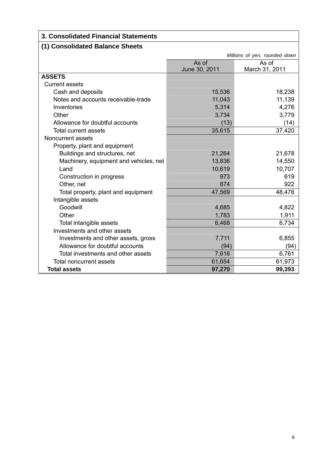# **3. Consolidated Financial Statements**

# **(1) Consolidated Balance Sheets**

|                                        | Millions of yen, rounded down |                |  |
|----------------------------------------|-------------------------------|----------------|--|
|                                        | As of                         | As of          |  |
|                                        | June 30, 2011                 | March 31, 2011 |  |
| <b>ASSETS</b>                          |                               |                |  |
| <b>Current assets</b>                  |                               |                |  |
| Cash and deposits                      | 15,536                        | 18,238         |  |
| Notes and accounts receivable-trade    | 11,043                        | 11,139         |  |
| Inventories                            | 5,314                         | 4,276          |  |
| Other                                  | 3,734                         | 3,779          |  |
| Allowance for doubtful accounts        | (13)                          | (14)           |  |
| <b>Total current assets</b>            | 35,615                        | 37,420         |  |
| Noncurrent assets                      |                               |                |  |
| Property, plant and equipment          |                               |                |  |
| Buildings and structures, net          | 21,264                        | 21,678         |  |
| Machinery, equipment and vehicles, net | 13,836                        | 14,550         |  |
| Land                                   | 10,619                        | 10,707         |  |
| Construction in progress               | 973                           | 619            |  |
| Other, net                             | 874                           | 922            |  |
| Total property, plant and equipment    | 47,569                        | 48,478         |  |
| Intangible assets                      |                               |                |  |
| Goodwill                               | 4,685                         | 4,822          |  |
| Other                                  | 1,783                         | 1,911          |  |
| Total intangible assets                | 6,468                         | 6,734          |  |
| Investments and other assets           |                               |                |  |
| Investments and other assets, gross    | 7,711                         | 6,855          |  |
| Allowance for doubtful accounts        | (94)                          | (94)           |  |
| Total investments and other assets     | 7,616                         | 6,761          |  |
| <b>Total noncurrent assets</b>         | 61,654                        | 61,973         |  |
| <b>Total assets</b>                    | 97,270                        | 99,393         |  |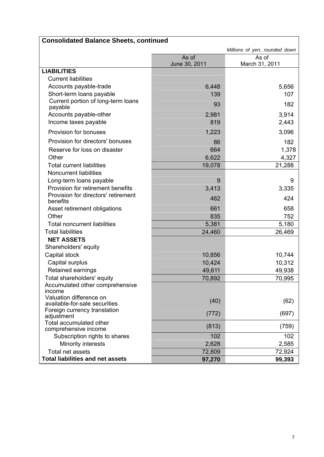|                                                          | <b>Consolidated Balance Sheets, continued</b> |                               |  |  |
|----------------------------------------------------------|-----------------------------------------------|-------------------------------|--|--|
|                                                          |                                               | Millions of yen, rounded down |  |  |
|                                                          | As of                                         | As of                         |  |  |
|                                                          | June 30, 2011                                 | March 31, 2011                |  |  |
| <b>LIABILITIES</b>                                       |                                               |                               |  |  |
| <b>Current liabilities</b>                               |                                               |                               |  |  |
| Accounts payable-trade                                   | 6,448                                         | 5,656                         |  |  |
| Short-term loans payable                                 | 139                                           | 107                           |  |  |
| Current portion of long-term loans<br>payable            | 93                                            | 182                           |  |  |
| Accounts payable-other                                   | 2,981                                         | 3,914                         |  |  |
| Income taxes payable                                     | 819                                           | 2,443                         |  |  |
| Provision for bonuses                                    | 1,223                                         | 3,096                         |  |  |
| Provision for directors' bonuses                         | 86                                            | 182                           |  |  |
| Reserve for loss on disaster                             | 664                                           | 1,378                         |  |  |
| Other                                                    | 6,622                                         | 4,327                         |  |  |
| <b>Total current liabilities</b>                         | 19,078                                        | 21,288                        |  |  |
| <b>Noncurrent liabilities</b>                            |                                               |                               |  |  |
| Long-term loans payable                                  | 9                                             | 9                             |  |  |
| Provision for retirement benefits                        | 3,413                                         | 3,335                         |  |  |
| Provision for directors' retirement<br>benefits          | 462                                           | 424                           |  |  |
| Asset retirement obligations                             | 661                                           | 658                           |  |  |
| Other                                                    | 835                                           | 752                           |  |  |
| <b>Total noncurrent liabilities</b>                      | 5,381                                         | 5,180                         |  |  |
| <b>Total liabilities</b>                                 | 24,460                                        | 26,469                        |  |  |
| <b>NET ASSETS</b>                                        |                                               |                               |  |  |
| Shareholders' equity                                     |                                               |                               |  |  |
| Capital stock                                            | 10,856                                        | 10,744                        |  |  |
| Capital surplus                                          | 10,424                                        | 10,312                        |  |  |
| Retained earnings                                        | 49,611                                        | 49,938                        |  |  |
| Total shareholders' equity                               | 70,892                                        | 70,995                        |  |  |
| Accumulated other comprehensive<br>income                |                                               |                               |  |  |
| Valuation difference on<br>available-for-sale securities | (40)                                          | (62)                          |  |  |
| Foreign currency translation<br>adjustment               | (772)                                         | (697)                         |  |  |
| Total accumulated other                                  | (813)                                         | (759)                         |  |  |
| comprehensive income                                     |                                               |                               |  |  |
| Subscription rights to shares                            | 102                                           | 102                           |  |  |
| Minority interests                                       | 2,628                                         | 2,585                         |  |  |
| Total net assets                                         | 72,809                                        | 72,924                        |  |  |
| <b>Total liabilities and net assets</b>                  | 97,270                                        | 99,393                        |  |  |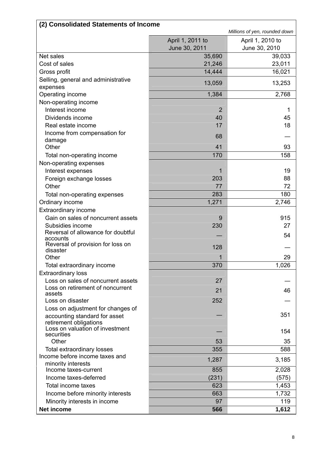| (2) Consolidated Statements of Income                     |                                   |                                   |  |
|-----------------------------------------------------------|-----------------------------------|-----------------------------------|--|
|                                                           |                                   | Millions of yen, rounded down     |  |
|                                                           | April 1, 2011 to<br>June 30, 2011 | April 1, 2010 to<br>June 30, 2010 |  |
| Net sales                                                 | 35,690                            | 39,033                            |  |
| Cost of sales                                             | 21,246                            | 23,011                            |  |
| Gross profit                                              | 14,444                            | 16,021                            |  |
| Selling, general and administrative                       |                                   |                                   |  |
| expenses                                                  | 13,059                            | 13,253                            |  |
| Operating income                                          | 1,384                             | 2,768                             |  |
| Non-operating income                                      |                                   |                                   |  |
| Interest income                                           | $\overline{2}$                    | 1                                 |  |
| Dividends income                                          | 40                                | 45                                |  |
| Real estate income                                        | 17                                | 18                                |  |
| Income from compensation for                              | 68                                |                                   |  |
| damage                                                    |                                   |                                   |  |
| Other                                                     | 41                                | 93                                |  |
| Total non-operating income                                | 170                               | 158                               |  |
| Non-operating expenses                                    |                                   |                                   |  |
| Interest expenses                                         | 1                                 | 19                                |  |
| Foreign exchange losses                                   | 203                               | 88                                |  |
| Other                                                     | 77                                | 72                                |  |
| Total non-operating expenses                              | 283                               | 180                               |  |
| Ordinary income                                           | 1,271                             | 2,746                             |  |
| Extraordinary income                                      |                                   |                                   |  |
| Gain on sales of noncurrent assets                        | 9                                 | 915                               |  |
| Subsidies income<br>Reversal of allowance for doubtful    | 230                               | 27                                |  |
| accounts                                                  |                                   | 54                                |  |
| Reversal of provision for loss on                         | 128                               |                                   |  |
| disaster<br>Other                                         |                                   | 29                                |  |
|                                                           | 370                               | 1,026                             |  |
| Total extraordinary income<br><b>Extraordinary loss</b>   |                                   |                                   |  |
| Loss on sales of noncurrent assets                        | 27                                |                                   |  |
| Loss on retirement of noncurrent                          |                                   |                                   |  |
| assets                                                    | 21                                | 46                                |  |
| Loss on disaster                                          | 252                               |                                   |  |
| Loss on adjustment for changes of                         |                                   |                                   |  |
| accounting standard for asset                             |                                   | 351                               |  |
| retirement obligations<br>Loss on valuation of investment |                                   |                                   |  |
| securities                                                |                                   | 154                               |  |
| Other                                                     | 53                                | 35                                |  |
| <b>Total extraordinary losses</b>                         | 355                               | 588                               |  |
| Income before income taxes and                            | 1,287                             | 3,185                             |  |
| minority interests                                        |                                   |                                   |  |
| Income taxes-current<br>Income taxes-deferred             | 855                               | 2,028                             |  |
|                                                           | (231)<br>623                      | (575)                             |  |
| Total income taxes                                        |                                   | 1,453                             |  |
| Income before minority interests                          | 663                               | 1,732                             |  |
| Minority interests in income                              | 97                                | 119                               |  |
| Net income                                                | 566                               | 1,612                             |  |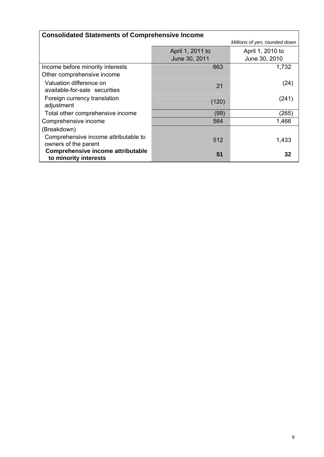| <b>Consolidated Statements of Comprehensive Income</b> |                  |                               |  |
|--------------------------------------------------------|------------------|-------------------------------|--|
|                                                        |                  | Millions of yen, rounded down |  |
|                                                        | April 1, 2011 to | April 1, 2010 to              |  |
|                                                        | June 30, 2011    | June 30, 2010                 |  |
| Income before minority interests                       | 663              | 1,732                         |  |
| Other comprehensive income                             |                  |                               |  |
| Valuation difference on                                | 21               | (24)                          |  |
| available-for-sale securities                          |                  |                               |  |
| Foreign currency translation<br>adjustment             | (120)            | (241)                         |  |
| Total other comprehensive income                       | (99)             | (265)                         |  |
| Comprehensive income                                   | 564              | 1,466                         |  |
| (Breakdown)                                            |                  |                               |  |
| Comprehensive income attributable to                   | 512              | 1,433                         |  |
| owners of the parent                                   |                  |                               |  |
| <b>Comprehensive income attributable</b>               | 51               | 32                            |  |
| to minority interests                                  |                  |                               |  |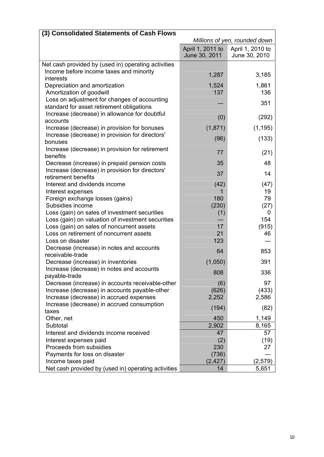| (3) Consolidated Statements of Cash Flows                   |                                   |                                   |
|-------------------------------------------------------------|-----------------------------------|-----------------------------------|
|                                                             | Millions of yen, rounded down     |                                   |
|                                                             | April 1, 2011 to<br>June 30, 2011 | April 1, 2010 to<br>June 30, 2010 |
| Net cash provided by (used in) operating activities         |                                   |                                   |
| Income before income taxes and minority                     |                                   |                                   |
| interests                                                   | 1,287                             | 3,185                             |
| Depreciation and amortization                               | 1,524                             | 1,861                             |
| Amortization of goodwill                                    | 137                               | 136                               |
| Loss on adjustment for changes of accounting                |                                   | 351                               |
| standard for asset retirement obligations                   |                                   |                                   |
| Increase (decrease) in allowance for doubtful               | (0)                               | (292)                             |
| accounts                                                    |                                   |                                   |
| Increase (decrease) in provision for bonuses                | (1, 871)                          | (1, 195)                          |
| Increase (decrease) in provision for directors'             | (96)                              | (133)                             |
| bonuses                                                     |                                   |                                   |
| Increase (decrease) in provision for retirement<br>benefits | 77                                | (21)                              |
| Decrease (increase) in prepaid pension costs                | 35                                | 48                                |
| Increase (decrease) in provision for directors'             | 37                                | 14                                |
| retirement benefits                                         |                                   |                                   |
| Interest and dividends income                               | (42)                              | (47)                              |
| Interest expenses                                           | 1                                 | 19                                |
| Foreign exchange losses (gains)                             | 180                               | 79                                |
| Subsidies income                                            | (230)                             | (27)                              |
| Loss (gain) on sales of investment securities               | (1)                               | 0                                 |
| Loss (gain) on valuation of investment securities           |                                   | 154                               |
| Loss (gain) on sales of noncurrent assets                   | 17                                | (915)                             |
| Loss on retirement of noncurrent assets<br>Loss on disaster | 21<br>123                         | 46                                |
| Decrease (increase) in notes and accounts                   |                                   |                                   |
| receivable-trade                                            | 64                                | 853                               |
| Decrease (increase) in inventories                          | (1,050)                           | 391                               |
| Increase (decrease) in notes and accounts                   |                                   |                                   |
| payable-trade                                               | 808                               | 336                               |
| Decrease (increase) in accounts receivable-other            | (6)                               | 97                                |
| Increase (decrease) in accounts payable-other               | (626)                             | (433)                             |
| Increase (decrease) in accrued expenses                     | 2,252                             | 2,586                             |
| Increase (decrease) in accrued consumption                  | (194)                             | (82)                              |
| taxes                                                       |                                   |                                   |
| Other, net                                                  | 450                               | 1,149                             |
| Subtotal                                                    | 2,902                             | 8,165                             |
| Interest and dividends income received                      | 47                                | 57                                |
| Interest expenses paid                                      | (2)                               | (19)                              |
| Proceeds from subsidies                                     | 230                               | 27                                |
| Payments for loss on disaster                               | (736)                             |                                   |
| Income taxes paid                                           | (2, 427)                          | (2, 579)                          |
| Net cash provided by (used in) operating activities         | 14                                | 5,651                             |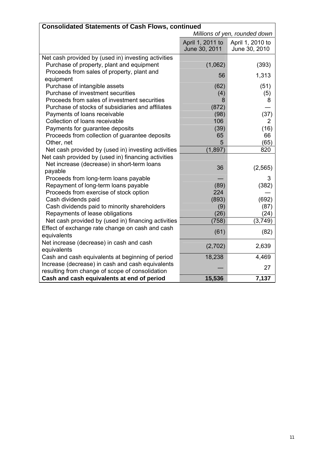| <b>Consolidated Statements of Cash Flows, continued</b>        |                                   |                                   |  |
|----------------------------------------------------------------|-----------------------------------|-----------------------------------|--|
|                                                                | Millions of yen, rounded down     |                                   |  |
|                                                                | April 1, 2011 to<br>June 30, 2011 | April 1, 2010 to<br>June 30, 2010 |  |
| Net cash provided by (used in) investing activities            |                                   |                                   |  |
| Purchase of property, plant and equipment                      | (1,062)                           | (393)                             |  |
| Proceeds from sales of property, plant and<br>equipment        | 56                                | 1,313                             |  |
| Purchase of intangible assets                                  | (62)                              | (51)                              |  |
| Purchase of investment securities                              | (4)                               | (5)                               |  |
| Proceeds from sales of investment securities                   | 8                                 | 8                                 |  |
| Purchase of stocks of subsidiaries and affiliates              | (872)                             |                                   |  |
| Payments of loans receivable                                   | (98)                              | (37)                              |  |
| Collection of loans receivable                                 | 106                               | 2                                 |  |
| Payments for guarantee deposits                                | (39)                              | (16)                              |  |
| Proceeds from collection of guarantee deposits                 | 65                                | 66                                |  |
| Other, net                                                     | 5                                 | (65)                              |  |
| Net cash provided by (used in) investing activities            | (1, 897)                          | 820                               |  |
| Net cash provided by (used in) financing activities            |                                   |                                   |  |
| Net increase (decrease) in short-term loans                    | 36                                | (2, 565)                          |  |
| payable                                                        |                                   |                                   |  |
| Proceeds from long-term loans payable                          |                                   | 3                                 |  |
| Repayment of long-term loans payable                           | (89)                              | (382)                             |  |
| Proceeds from exercise of stock option                         | 224                               |                                   |  |
| Cash dividends paid                                            | (893)                             | (692)                             |  |
| Cash dividends paid to minority shareholders                   | (9)                               | (87)                              |  |
| Repayments of lease obligations                                | (26)                              | (24)                              |  |
| Net cash provided by (used in) financing activities            | (758)                             | (3,749)                           |  |
| Effect of exchange rate change on cash and cash<br>equivalents | (61)                              | (82)                              |  |
| Net increase (decrease) in cash and cash<br>equivalents        | (2,702)                           | 2,639                             |  |
| Cash and cash equivalents at beginning of period               | 18,238                            | 4,469                             |  |
| Increase (decrease) in cash and cash equivalents               |                                   | 27                                |  |
| resulting from change of scope of consolidation                |                                   |                                   |  |
| Cash and cash equivalents at end of period                     | 15,536                            | 7,137                             |  |